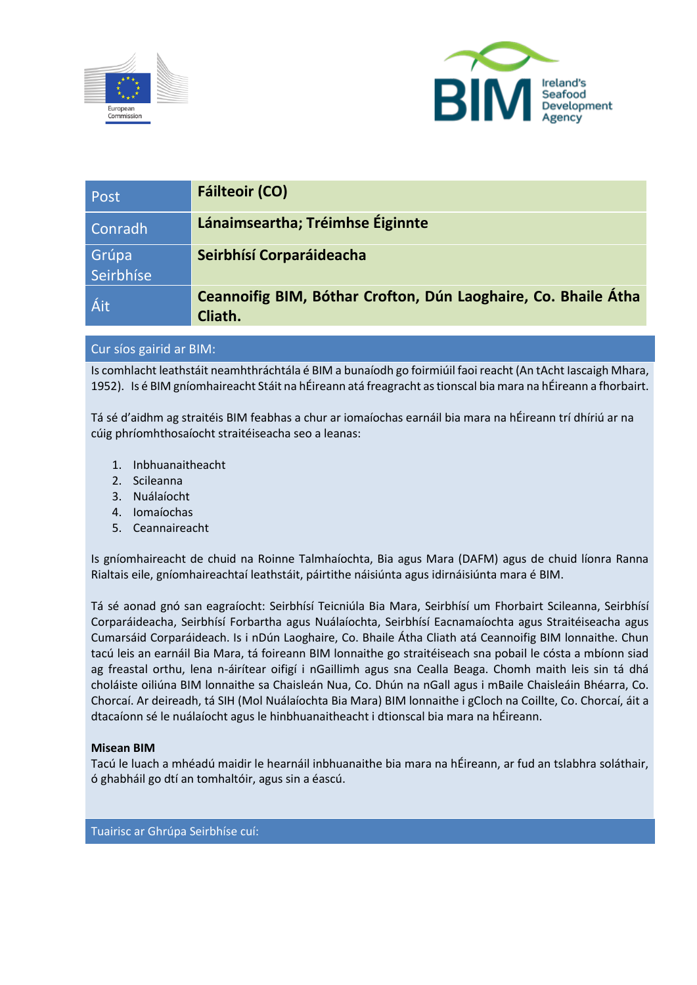



| Post               | <b>Fáilteoir (CO)</b>                                                     |
|--------------------|---------------------------------------------------------------------------|
| Conradh            | Lánaimseartha; Tréimhse Éiginnte                                          |
| Grúpa<br>Seirbhíse | Seirbhísí Corparáideacha                                                  |
| Áit                | Ceannoifig BIM, Bóthar Crofton, Dún Laoghaire, Co. Bhaile Átha<br>Cliath. |

# Cur síos gairid ar BIM:

Is comhlacht leathstáit neamhthráchtála é BIM a bunaíodh go foirmiúil faoi reacht (An tAcht Iascaigh Mhara, 1952). Is é BIM gníomhaireacht Stáit na hÉireann atá freagracht as tionscal bia mara na hÉireann a fhorbairt.

Tá sé d'aidhm ag straitéis BIM feabhas a chur ar iomaíochas earnáil bia mara na hÉireann trí dhíriú ar na cúig phríomhthosaíocht straitéiseacha seo a leanas:

- 1. Inbhuanaitheacht
- 2. Scileanna
- 3. Nuálaíocht
- 4. Iomaíochas
- 5. Ceannaireacht

Is gníomhaireacht de chuid na Roinne Talmhaíochta, Bia agus Mara (DAFM) agus de chuid líonra Ranna Rialtais eile, gníomhaireachtaí leathstáit, páirtithe náisiúnta agus idirnáisiúnta mara é BIM.

Tá sé aonad gnó san eagraíocht: Seirbhísí Teicniúla Bia Mara, Seirbhísí um Fhorbairt Scileanna, Seirbhísí Corparáideacha, Seirbhísí Forbartha agus Nuálaíochta, Seirbhísí Eacnamaíochta agus Straitéiseacha agus Cumarsáid Corparáideach. Is i nDún Laoghaire, Co. Bhaile Átha Cliath atá Ceannoifig BIM lonnaithe. Chun tacú leis an earnáil Bia Mara, tá foireann BIM lonnaithe go straitéiseach sna pobail le cósta a mbíonn siad ag freastal orthu, lena n-áirítear oifigí i nGaillimh agus sna Cealla Beaga. Chomh maith leis sin tá dhá choláiste oiliúna BIM lonnaithe sa Chaisleán Nua, Co. Dhún na nGall agus i mBaile Chaisleáin Bhéarra, Co. Chorcaí. Ar deireadh, tá SIH (Mol Nuálaíochta Bia Mara) BIM lonnaithe i gCloch na Coillte, Co. Chorcaí, áit a dtacaíonn sé le nuálaíocht agus le hinbhuanaitheacht i dtionscal bia mara na hÉireann.

#### **Misean BIM**

Tacú le luach a mhéadú maidir le hearnáil inbhuanaithe bia mara na hÉireann, ar fud an tslabhra soláthair, ó ghabháil go dtí an tomhaltóir, agus sin a éascú.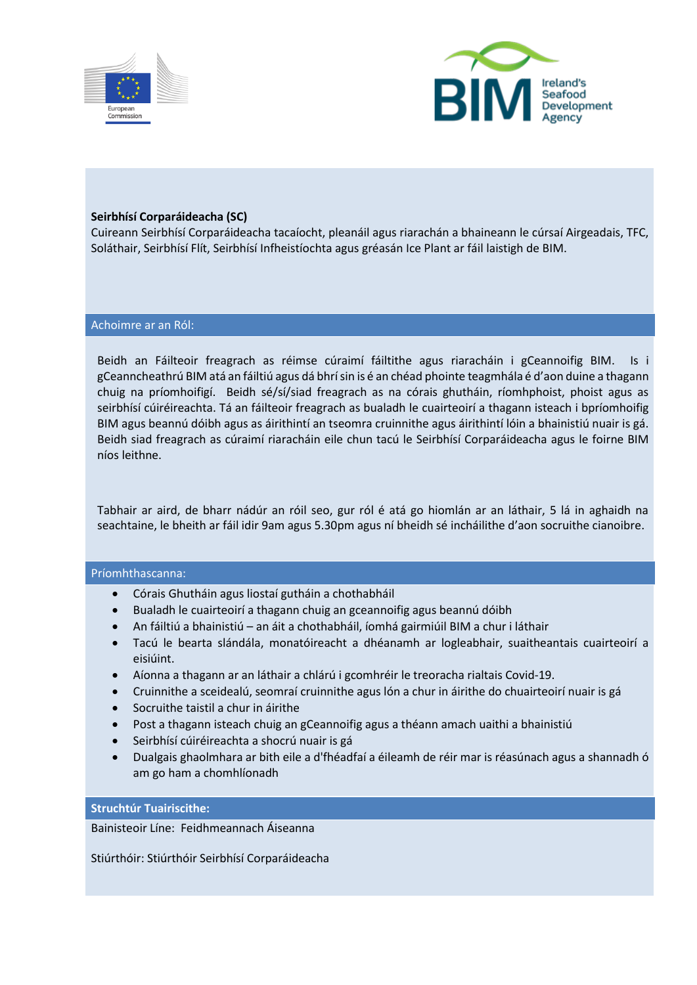



### **Seirbhísí Corparáideacha (SC)**

Cuireann Seirbhísí Corparáideacha tacaíocht, pleanáil agus riarachán a bhaineann le cúrsaí Airgeadais, TFC, Soláthair, Seirbhísí Flít, Seirbhísí Infheistíochta agus gréasán Ice Plant ar fáil laistigh de BIM.

#### Achoimre ar an Ról:

Beidh an Fáilteoir freagrach as réimse cúraimí fáiltithe agus riaracháin i gCeannoifig BIM. Is i gCeanncheathrú BIM atá an fáiltiú agus dá bhrí sin is é an chéad phointe teagmhála é d'aon duine a thagann chuig na príomhoifigí. Beidh sé/sí/siad freagrach as na córais ghutháin, ríomhphoist, phoist agus as seirbhísí cúiréireachta. Tá an fáilteoir freagrach as bualadh le cuairteoirí a thagann isteach i bpríomhoifig BIM agus beannú dóibh agus as áirithintí an tseomra cruinnithe agus áirithintí lóin a bhainistiú nuair is gá. Beidh siad freagrach as cúraimí riaracháin eile chun tacú le Seirbhísí Corparáideacha agus le foirne BIM níos leithne.

Tabhair ar aird, de bharr nádúr an róil seo, gur ról é atá go hiomlán ar an láthair, 5 lá in aghaidh na seachtaine, le bheith ar fáil idir 9am agus 5.30pm agus ní bheidh sé incháilithe d'aon socruithe cianoibre.

#### Príomhthascanna:

- Córais Ghutháin agus liostaí gutháin a chothabháil
- Bualadh le cuairteoirí a thagann chuig an gceannoifig agus beannú dóibh
- An fáiltiú a bhainistiú an áit a chothabháil, íomhá gairmiúil BIM a chur i láthair
- Tacú le bearta slándála, monatóireacht a dhéanamh ar logleabhair, suaitheantais cuairteoirí a eisiúint.
- Aíonna a thagann ar an láthair a chlárú i gcomhréir le treoracha rialtais Covid-19.
- Cruinnithe a sceidealú, seomraí cruinnithe agus lón a chur in áirithe do chuairteoirí nuair is gá
- Socruithe taistil a chur in áirithe
- Post a thagann isteach chuig an gCeannoifig agus a théann amach uaithi a bhainistiú
- Seirbhísí cúiréireachta a shocrú nuair is gá
- Dualgais ghaolmhara ar bith eile a d'fhéadfaí a éileamh de réir mar is réasúnach agus a shannadh ó am go ham a chomhlíonadh

#### **Struchtúr Tuairiscithe:**

Bainisteoir Líne: Feidhmeannach Áiseanna

Stiúrthóir: Stiúrthóir Seirbhísí Corparáideacha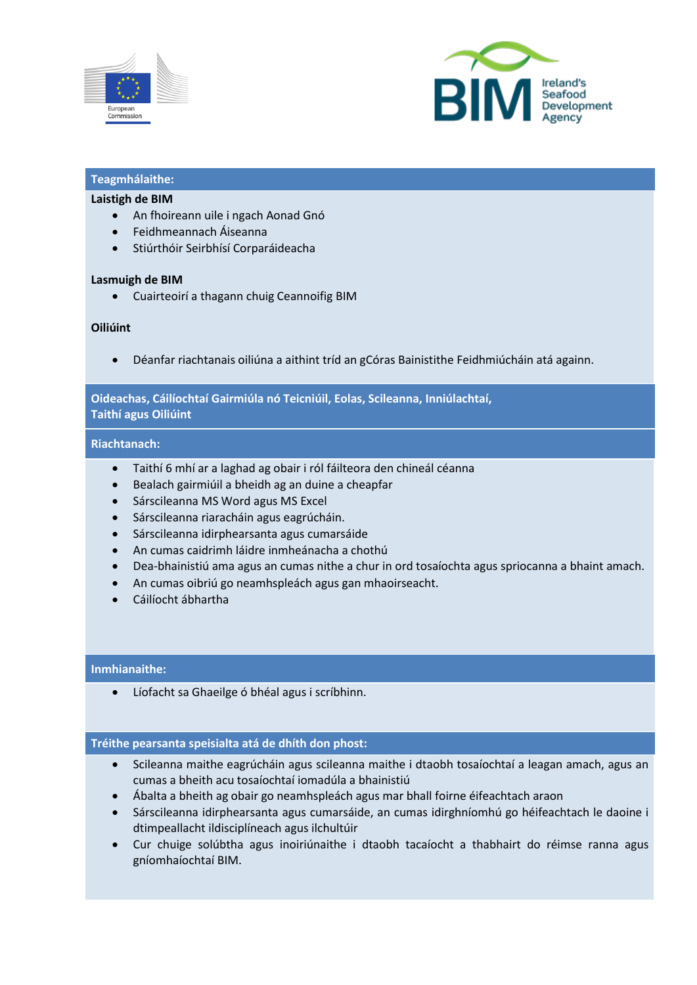



# **Teagmhálaithe:**

#### **Laistigh de BIM**

- An fhoireann uile i ngach Aonad Gnó
- Feidhmeannach Áiseanna
- Stiúrthóir Seirbhísí Corparáideacha

#### **Lasmuigh de BIM**

• Cuairteoirí a thagann chuig Ceannoifig BIM

## **Oiliúint**

• Déanfar riachtanais oiliúna a aithint tríd an gCóras Bainistithe Feidhmiúcháin atá againn.

## **Oideachas, Cáilíochtaí Gairmiúla nó Teicniúil, Eolas, Scileanna, Inniúlachtaí, Taithí agus Oiliúint**

#### **Riachtanach:**

- Taithí 6 mhí ar a laghad ag obair i ról fáilteora den chineál céanna
- Bealach gairmiúil a bheidh ag an duine a cheapfar
- Sárscileanna MS Word agus MS Excel
- Sárscileanna riaracháin agus eagrúcháin.
- Sárscileanna idirphearsanta agus cumarsáide
- An cumas caidrimh láidre inmheánacha a chothú
- Dea-bhainistiú ama agus an cumas nithe a chur in ord tosaíochta agus spriocanna a bhaint amach.
- An cumas oibriú go neamhspleách agus gan mhaoirseacht.
- Cáilíocht ábhartha

## **Inmhianaithe:**

Líofacht sa Ghaeilge ó bhéal agus i scríbhinn.

#### **Tréithe pearsanta speisialta atá de dhíth don phost:**

- Scileanna maithe eagrúcháin agus scileanna maithe i dtaobh tosaíochtaí a leagan amach, agus an cumas a bheith acu tosaíochtaí iomadúla a bhainistiú
- Ábalta a bheith ag obair go neamhspleách agus mar bhall foirne éifeachtach araon
- Sárscileanna idirphearsanta agus cumarsáide, an cumas idirghníomhú go héifeachtach le daoine i dtimpeallacht ildisciplíneach agus ilchultúir
- Cur chuige solúbtha agus inoiriúnaithe i dtaobh tacaíocht a thabhairt do réimse ranna agus gníomhaíochtaí BIM.